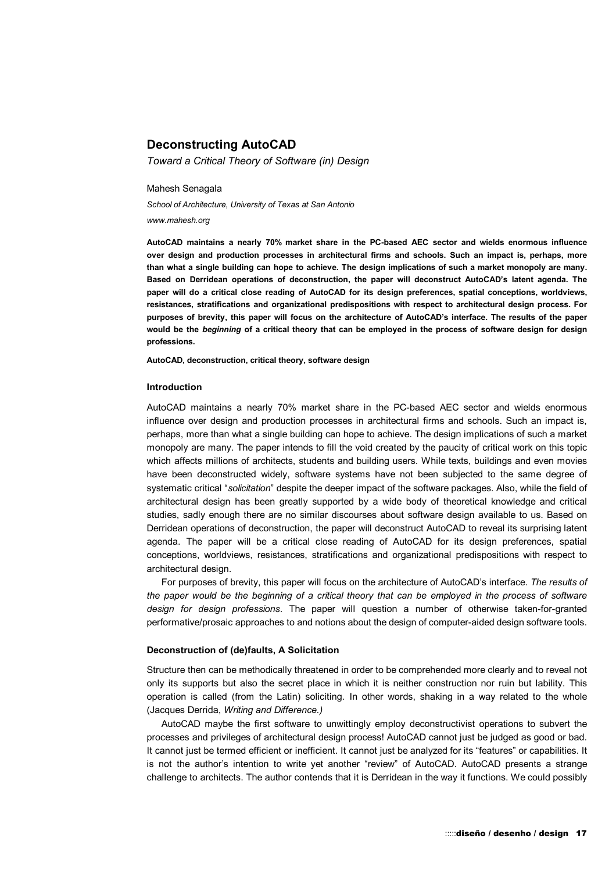# **Deconstructing AutoCAD**

*Toward a Critical Theory of Software (in) Design* 

Mahesh Senagala

*School of Architecture, University of Texas at San Antonio* 

*www.mahesh.org* 

**AutoCAD maintains a nearly 70% market share in the PC-based AEC sector and wields enormous influence over design and production processes in architectural firms and schools. Such an impact is, perhaps, more than what a single building can hope to achieve. The design implications of such a market monopoly are many. Based on Derridean operations of deconstruction, the paper will deconstruct AutoCAD's latent agenda. The paper will do a critical close reading of AutoCAD for its design preferences, spatial conceptions, worldviews, resistances, stratifications and organizational predispositions with respect to architectural design process. For purposes of brevity, this paper will focus on the architecture of AutoCAD's interface. The results of the paper would be the** *beginning* **of a critical theory that can be employed in the process of software design for design professions.** 

**AutoCAD, deconstruction, critical theory, software design** 

#### **Introduction**

AutoCAD maintains a nearly 70% market share in the PC-based AEC sector and wields enormous influence over design and production processes in architectural firms and schools. Such an impact is, perhaps, more than what a single building can hope to achieve. The design implications of such a market monopoly are many. The paper intends to fill the void created by the paucity of critical work on this topic which affects millions of architects, students and building users. While texts, buildings and even movies have been deconstructed widely, software systems have not been subjected to the same degree of systematic critical "*solicitation*" despite the deeper impact of the software packages. Also, while the field of architectural design has been greatly supported by a wide body of theoretical knowledge and critical studies, sadly enough there are no similar discourses about software design available to us. Based on Derridean operations of deconstruction, the paper will deconstruct AutoCAD to reveal its surprising latent agenda. The paper will be a critical close reading of AutoCAD for its design preferences, spatial conceptions, worldviews, resistances, stratifications and organizational predispositions with respect to architectural design.

For purposes of brevity, this paper will focus on the architecture of AutoCAD's interface. *The results of the paper would be the beginning of a critical theory that can be employed in the process of software design for design professions*. The paper will question a number of otherwise taken-for-granted performative/prosaic approaches to and notions about the design of computer-aided design software tools.

#### **Deconstruction of (de)faults, A Solicitation**

Structure then can be methodically threatened in order to be comprehended more clearly and to reveal not only its supports but also the secret place in which it is neither construction nor ruin but lability. This operation is called (from the Latin) soliciting. In other words, shaking in a way related to the whole (Jacques Derrida, *Writing and Difference.)*

AutoCAD maybe the first software to unwittingly employ deconstructivist operations to subvert the processes and privileges of architectural design process! AutoCAD cannot just be judged as good or bad. It cannot just be termed efficient or inefficient. It cannot just be analyzed for its "features" or capabilities. It is not the author's intention to write yet another "review" of AutoCAD. AutoCAD presents a strange challenge to architects. The author contends that it is Derridean in the way it functions. We could possibly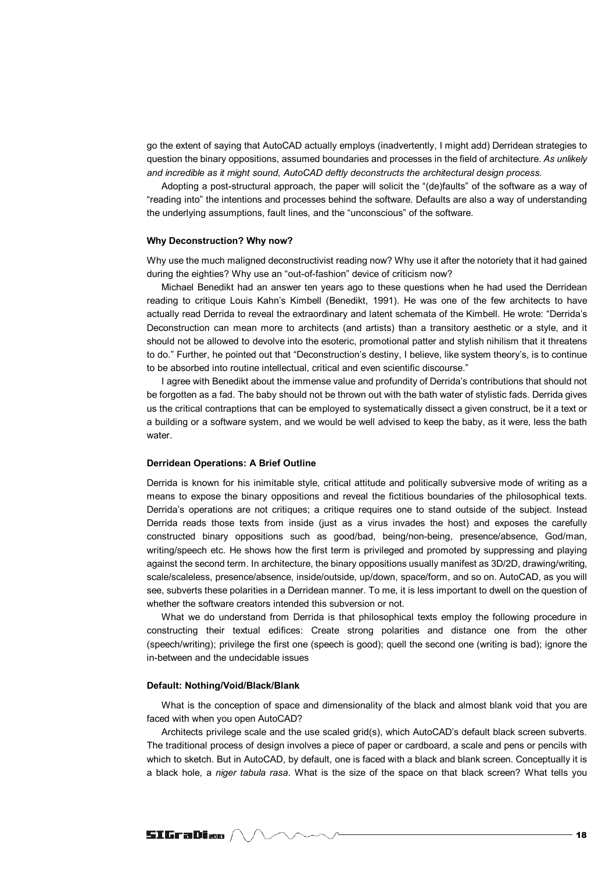go the extent of saying that AutoCAD actually employs (inadvertently, I might add) Derridean strategies to question the binary oppositions, assumed boundaries and processes in the field of architecture. *As unlikely and incredible as it might sound, AutoCAD deftly deconstructs the architectural design process.* 

Adopting a post-structural approach, the paper will solicit the "(de)faults" of the software as a way of "reading into" the intentions and processes behind the software. Defaults are also a way of understanding the underlying assumptions, fault lines, and the "unconscious" of the software.

#### **Why Deconstruction? Why now?**

Why use the much maligned deconstructivist reading now? Why use it after the notoriety that it had gained during the eighties? Why use an "out-of-fashion" device of criticism now?

Michael Benedikt had an answer ten years ago to these questions when he had used the Derridean reading to critique Louis Kahn's Kimbell (Benedikt, 1991). He was one of the few architects to have actually read Derrida to reveal the extraordinary and latent schemata of the Kimbell. He wrote: "Derrida's Deconstruction can mean more to architects (and artists) than a transitory aesthetic or a style, and it should not be allowed to devolve into the esoteric, promotional patter and stylish nihilism that it threatens to do." Further, he pointed out that "Deconstruction's destiny, I believe, like system theory's, is to continue to be absorbed into routine intellectual, critical and even scientific discourse."

I agree with Benedikt about the immense value and profundity of Derrida's contributions that should not be forgotten as a fad. The baby should not be thrown out with the bath water of stylistic fads. Derrida gives us the critical contraptions that can be employed to systematically dissect a given construct, be it a text or a building or a software system, and we would be well advised to keep the baby, as it were, less the bath water.

#### **Derridean Operations: A Brief Outline**

Derrida is known for his inimitable style, critical attitude and politically subversive mode of writing as a means to expose the binary oppositions and reveal the fictitious boundaries of the philosophical texts. Derrida's operations are not critiques; a critique requires one to stand outside of the subject. Instead Derrida reads those texts from inside (just as a virus invades the host) and exposes the carefully constructed binary oppositions such as good/bad, being/non-being, presence/absence, God/man, writing/speech etc. He shows how the first term is privileged and promoted by suppressing and playing against the second term. In architecture, the binary oppositions usually manifest as 3D/2D, drawing/writing, scale/scaleless, presence/absence, inside/outside, up/down, space/form, and so on. AutoCAD, as you will see, subverts these polarities in a Derridean manner. To me, it is less important to dwell on the question of whether the software creators intended this subversion or not.

What we do understand from Derrida is that philosophical texts employ the following procedure in constructing their textual edifices: Create strong polarities and distance one from the other (speech/writing); privilege the first one (speech is good); quell the second one (writing is bad); ignore the in-between and the undecidable issues

## **Default: Nothing/Void/Black/Blank**

What is the conception of space and dimensionality of the black and almost blank void that you are faced with when you open AutoCAD?

Architects privilege scale and the use scaled grid(s), which AutoCAD's default black screen subverts. The traditional process of design involves a piece of paper or cardboard, a scale and pens or pencils with which to sketch. But in AutoCAD, by default, one is faced with a black and blank screen. Conceptually it is a black hole, a *niger tabula rasa*. What is the size of the space on that black screen? What tells you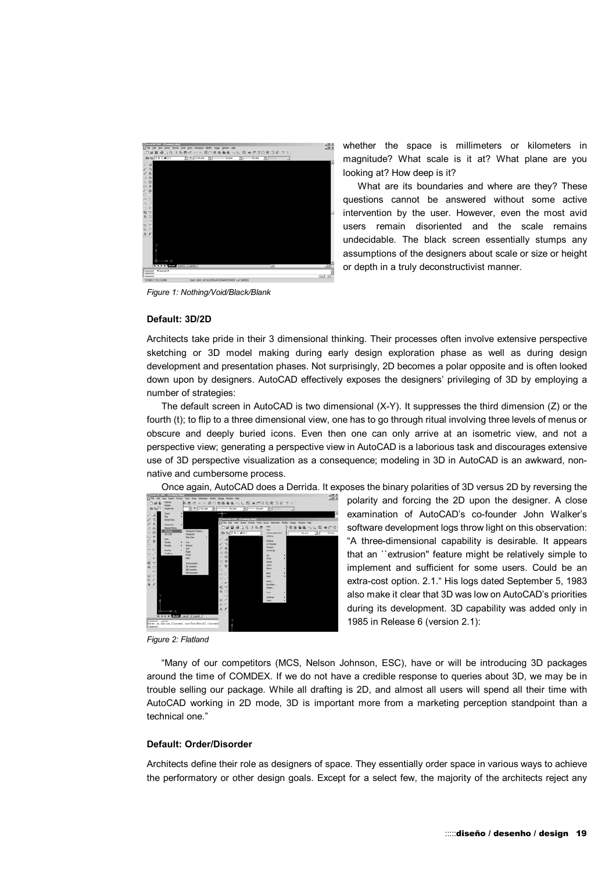

*Figure 1: Nothing/Void/Black/Blank*

**Default: 3D/2D** 

whether the space is millimeters or kilometers in magnitude? What scale is it at? What plane are you looking at? How deep is it?

What are its boundaries and where are they? These questions cannot be answered without some active intervention by the user. However, even the most avid users remain disoriented and the scale remains undecidable. The black screen essentially stumps any assumptions of the designers about scale or size or height or depth in a truly deconstructivist manner.

Architects take pride in their 3 dimensional thinking. Their processes often involve extensive perspective sketching or 3D model making during early design exploration phase as well as during design development and presentation phases. Not surprisingly, 2D becomes a polar opposite and is often looked down upon by designers. AutoCAD effectively exposes the designers' privileging of 3D by employing a number of strategies:

The default screen in AutoCAD is two dimensional (X-Y). It suppresses the third dimension (Z) or the fourth (t); to flip to a three dimensional view, one has to go through ritual involving three levels of menus or obscure and deeply buried icons. Even then one can only arrive at an isometric view, and not a perspective view; generating a perspective view in AutoCAD is a laborious task and discourages extensive use of 3D perspective visualization as a consequence; modeling in 3D in AutoCAD is an awkward, nonnative and cumbersome process.

Once again, AutoCAD does a Derrida. It exposes the binary polarities of 3D versus 2D by reversing the



polarity and forcing the 2D upon the designer. A close examination of AutoCAD's co-founder John Walker's software development logs throw light on this observation: "A three-dimensional capability is desirable. It appears that an ``extrusion'' feature might be relatively simple to implement and sufficient for some users. Could be an extra-cost option. 2.1." His logs dated September 5, 1983 also make it clear that 3D was low on AutoCAD's priorities during its development. 3D capability was added only in 1985 in Release 6 (version 2.1):

*Figure 2: Flatland* 

"Many of our competitors (MCS, Nelson Johnson, ESC), have or will be introducing 3D packages around the time of COMDEX. If we do not have a credible response to queries about 3D, we may be in trouble selling our package. While all drafting is 2D, and almost all users will spend all their time with AutoCAD working in 2D mode, 3D is important more from a marketing perception standpoint than a technical one."

## **Default: Order/Disorder**

Architects define their role as designers of space. They essentially order space in various ways to achieve the performatory or other design goals. Except for a select few, the majority of the architects reject any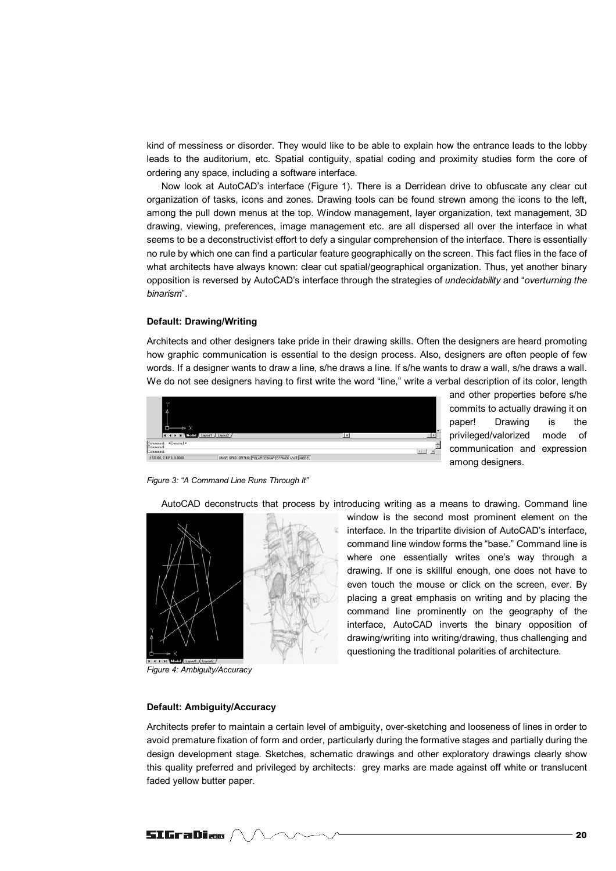kind of messiness or disorder. They would like to be able to explain how the entrance leads to the lobby leads to the auditorium, etc. Spatial contiguity, spatial coding and proximity studies form the core of ordering any space, including a software interface.

Now look at AutoCAD's interface (Figure 1). There is a Derridean drive to obfuscate any clear cut organization of tasks, icons and zones. Drawing tools can be found strewn among the icons to the left, among the pull down menus at the top. Window management, layer organization, text management, 3D drawing, viewing, preferences, image management etc. are all dispersed all over the interface in what seems to be a deconstructivist effort to defy a singular comprehension of the interface. There is essentially no rule by which one can find a particular feature geographically on the screen. This fact flies in the face of what architects have always known: clear cut spatial/geographical organization. Thus, yet another binary opposition is reversed by AutoCAD's interface through the strategies of *undecidability* and "*overturning the binarism*".

## **Default: Drawing/Writing**

Architects and other designers take pride in their drawing skills. Often the designers are heard promoting how graphic communication is essential to the design process. Also, designers are often people of few words. If a designer wants to draw a line, s/he draws a line. If s/he wants to draw a wall, s/he draws a wall. We do not see designers having to first write the word "line," write a verbal description of its color, length



and other properties before s/he commits to actually drawing it on paper! Drawing is the privileged/valorized mode of communication and expression among designers.

*Figure 3: "A Command Line Runs Through It"* 

AutoCAD deconstructs that process by introducing writing as a means to drawing. Command line



*Figure 4: Ambiguity/Accuracy*

window is the second most prominent element on the interface. In the tripartite division of AutoCAD's interface, command line window forms the "base." Command line is where one essentially writes one's way through a drawing. If one is skillful enough, one does not have to even touch the mouse or click on the screen, ever. By placing a great emphasis on writing and by placing the command line prominently on the geography of the interface, AutoCAD inverts the binary opposition of drawing/writing into writing/drawing, thus challenging and questioning the traditional polarities of architecture.

#### **Default: Ambiguity/Accuracy**

Architects prefer to maintain a certain level of ambiguity, over-sketching and looseness of lines in order to avoid premature fixation of form and order, particularly during the formative stages and partially during the design development stage. Sketches, schematic drawings and other exploratory drawings clearly show this quality preferred and privileged by architects: grey marks are made against off white or translucent faded yellow butter paper.